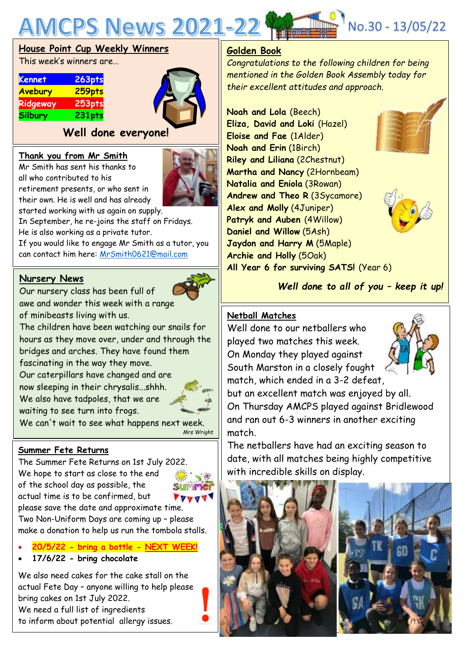

## **House Point Cup Weekly Winners**

This week's winners are…

| <b>Kennet</b>  | 263pts        |
|----------------|---------------|
| <b>Avebury</b> | 259pts        |
| Ridgeway       | <b>253pts</b> |
| <b>Silbury</b> | 231pts        |



## **Well done everyone!**

#### **Thank you from Mr Smith**

Mr Smith has sent his thanks to all who contributed to his retirement presents, or who sent in

their own. He is well and has already



started working with us again on supply. In September, he re-joins the staff on Fridays.

He is also working as a private tutor.

If you would like to engage Mr Smith as a tutor, you can contact him here: [MrSmith0621@mail.com](mailto:MrSmith0621@mail.com)

## **Nursery News**

Our nursery class has been full of awe and wonder this week with a range of minibeasts living with us.

The children have been watching our snails for hours as they move over, under and through the bridges and arches. They have found them

fascinating in the way they move.

Our caterpillars have changed and are now sleeping in their chrysalis...shhh. We also have tadpoles, that we are waiting to see turn into frogs.



We can't wait to see what happens next week. *Mrs Wright*

## **Summer Fete Returns**

The Summer Fete Returns on 1st July 2022. We hope to start as close to the end of the school day as possible, the actual time is to be confirmed, but please save the date and approximate time.



Two Non-Uniform Days are coming up – please make a donation to help us run the tombola stalls.

- **20/5/22 - bring a bottle - NEXT WEEK!**
- **17/6/22 - bring chocolate**

We also need cakes for the cake stall on the actual Fete Day – anyone willing to help please bring cakes on 1st July 2022. We need a full list of ingredients to inform about potential allergy issues.

## **Golden Book**

*Congratulations to the following children for being mentioned in the Golden Book Assembly today for their excellent attitudes and approach.*

**Noah and Lola** (Beech) **Eliza, David and Loki** (Hazel) **Eloise and Fae** (1Alder) **Noah and Erin** (1Birch) **Riley and Liliana** (2Chestnut) **Martha and Nancy** (2Hornbeam) **Natalia and Eniola** (3Rowan) **Andrew and Theo R** (3Sycamore) **Alex and Molly** (4Juniper) **Patryk and Auben** (4Willow) **Daniel and Willow** (5Ash) **Jaydon and Harry M** (5Maple) **Archie and Holly** (5Oak) **All Year 6 for surviving SATS!** (Year 6)





*Well done to all of you – keep it up!*

## **Netball Matches**

 Well done to our netballers who played two matches this week. On Monday they played against South Marston in a closely fought match, which ended in a 3-2 defeat,



but an excellent match was enjoyed by all. On Thursday AMCPS played against Bridlewood and ran out 6-3 winners in another exciting match.

The netballers have had an exciting season to date, with all matches being highly competitive with incredible skills on display.

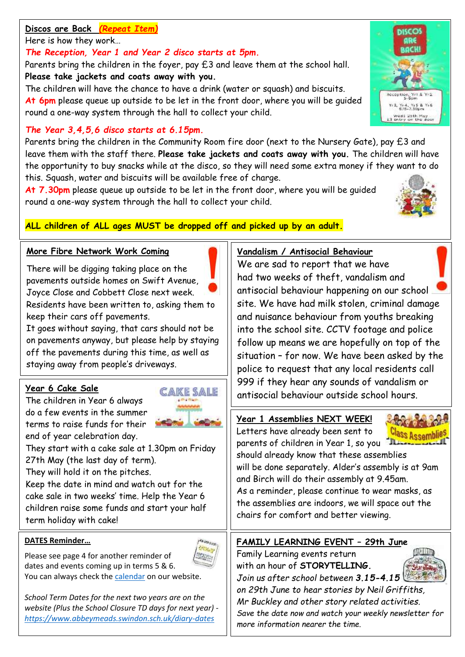## **Discos are Back** *(Repeat Item)*

## Here is how they work…

## *The Reception, Year 1 and Year 2 disco starts at 5pm***.**

Parents bring the children in the foyer, pay £3 and leave them at the school hall. **Please take jackets and coats away with you.**

The children will have the chance to have a drink (water or squash) and biscuits. **At 6pm** please queue up outside to be let in the front door, where you will be guided round a one-way system through the hall to collect your child.

## *The Year 3,4,5,6 disco starts at 6.15pm.*

Parents bring the children in the Community Room fire door (next to the Nursery Gate), pay £3 and leave them with the staff there. **Please take jackets and coats away with you.** The children will have the opportunity to buy snacks while at the disco, so they will need some extra money if they want to do this. Squash, water and biscuits will be available free of charge.

**At 7.30pm** please queue up outside to be let in the front door, where you will be guided round a one-way system through the hall to collect your child.



## **ALL children of ALL ages MUST be dropped off and picked up by an adult.**

## **More Fibre Network Work Coming**

There will be digging taking place on the pavements outside homes on Swift Avenue, Joyce Close and Cobbett Close next week. Residents have been written to, asking them to keep their cars off pavements.

It goes without saying, that cars should not be on pavements anyway, but please help by staying off the pavements during this time, as well as staying away from people's driveways.

## **Year 6 Cake Sale**

The children in Year 6 always do a few events in the summer terms to raise funds for their end of year celebration day.



They start with a cake sale at 1.30pm on Friday 27th May (the last day of term).

They will hold it on the pitches.

Keep the date in mind and watch out for the cake sale in two weeks' time. Help the Year 6 children raise some funds and start your half term holiday with cake!

## **DATES Reminder…**



Please see page 4 for another reminder of dates and events coming up in terms 5 & 6. You can always check the [calendar](https://www.abbeymeads.swindon.sch.uk/_files/ugd/64c1c7_0e176d3798b141f2a49e24144210a91d.pdf) on our website.

*School Term Dates for the next two years are on the website (Plus the School Closure TD days for next year) <https://www.abbeymeads.swindon.sch.uk/diary-dates>*

## **Vandalism / Antisocial Behaviour**

We are sad to report that we have had two weeks of theft, vandalism and antisocial behaviour happening on our school site. We have had milk stolen, criminal damage and nuisance behaviour from youths breaking into the school site. CCTV footage and police follow up means we are hopefully on top of the situation – for now. We have been asked by the police to request that any local residents call 999 if they hear any sounds of vandalism or antisocial behaviour outside school hours.

**Year 1 Assemblies NEXT WEEK!**

Letters have already been sent to parents of children in Year 1, so you



should already know that these assemblies will be done separately. Alder's assembly is at 9am and Birch will do their assembly at 9.45am. As a reminder, please continue to wear masks, as the assemblies are indoors, we will space out the chairs for comfort and better viewing.

## **FAMILY LEARNING EVENT – 29th June**

Family Learning events return with an hour of **STORYTELLING***. Join us after school between 3.15-4.15*



*on 29th June to hear stories by Neil Griffiths, Mr Buckley and other story related activities. Save the date now and watch your weekly newsletter for more information nearer the time.*

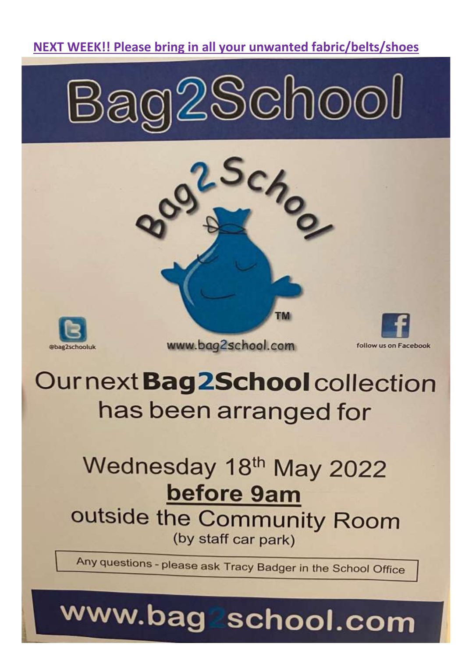## NEXT WEEK!! Please bring in all your unwanted fabric/belts/shoes







www.bag2school.com



follow us on Facebook

# Ournext Bag2School collection has been arranged for

## Wednesday 18th May 2022 before 9am outside the Community Room (by staff car park)

Any questions - please ask Tracy Badger in the School Office

# www.bag school.com